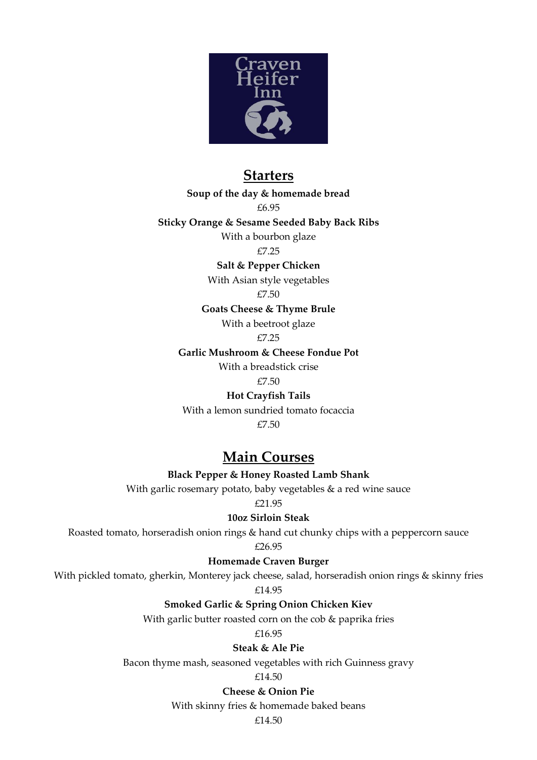

# **Starters**

**Soup of the day & homemade bread** 

£6.95

**Sticky Orange & Sesame Seeded Baby Back Ribs**

With a bourbon glaze

£7.25

**Salt & Pepper Chicken** 

With Asian style vegetables

£7.50

**Goats Cheese & Thyme Brule** 

With a beetroot glaze

£7.25

**Garlic Mushroom & Cheese Fondue Pot**

With a breadstick crise

£7.50

**Hot Crayfish Tails** 

With a lemon sundried tomato focaccia

£7.50

## **Main Courses**

**Black Pepper & Honey Roasted Lamb Shank**

With garlic rosemary potato, baby vegetables & a red wine sauce

£21.95

**10oz Sirloin Steak** 

Roasted tomato, horseradish onion rings & hand cut chunky chips with a peppercorn sauce

£26.95

**Homemade Craven Burger**

With pickled tomato, gherkin, Monterey jack cheese, salad, horseradish onion rings & skinny fries

£14.95

**Smoked Garlic & Spring Onion Chicken Kiev** 

With garlic butter roasted corn on the cob & paprika fries

£16.95

**Steak & Ale Pie** 

Bacon thyme mash, seasoned vegetables with rich Guinness gravy

£14.50

**Cheese & Onion Pie** 

With skinny fries & homemade baked beans

£14.50